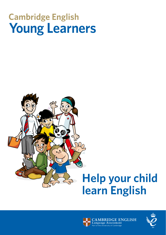## **Cambridge English Young Learners**





**BRIDGE ENGLISH** 

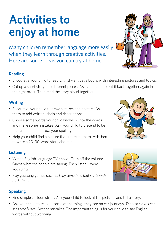# **Activities to enjoy at home**

Many children remember language more easily when they learn through creative activities. Here are some ideas you can try at home.

## **Reading**

- Encourage your child to read English-language books with interesting pictures and topics.
- Cut up a short story into different pieces. Ask your child to put it back together again in the right order. Then read the story aloud together.

## **Writing**

- Encourage your child to draw pictures and posters. Ask them to add written labels and descriptions.
- Choose some words your child knows. Write the words and make some mistakes. Ask your child to pretend to be the teacher and correct your spellings.
- Help your child find a picture that interests them. Ask them to write a 20–30-word story about it.

## **Listening**

- Watch English-language TV shows. Turn off the volume. Guess what the people are saying. Then listen – were you right?
- Play guessing games such as *I spy something that starts with the letter …*

## **Speaking**

- Find simple cartoon strips. Ask your child to look at the pictures and tell a story.
- Ask your child to tell you some of the things they see on car journeys. *That car's red! I can see three buses!* Accept mistakes. The important thing is for your child to say English words without worrying.





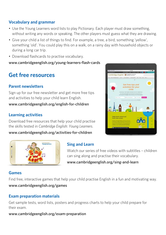## **Vocabulary and grammar**

- Use the Young Learners word lists to play Pictionary. Each player must draw something, without writing any words or speaking. The other players must guess what they are drawing.
- Give your child a list of things to find. For example, a tree, a bird, something 'yellow', something 'old'. You could play this on a walk, on a rainy day with household objects or during a long car trip.
- Download flashcards to practise vocabulary.

[www.cambridgeenglish.org/young-learners-flash-cards](http://www.cambridgeenglish.org/young-learners-flash-cards)

## **Get free resources**

## **Parent newsletters**

Sign up for our free newsletter and get more free tips and activities to help your child learn English.

[www.cambridgeenglish.org/english-for-children](http://www.cambridgeenglish.org/english-for-children)

### **Learning activities**

Download free resources that help your child practise the skills tested in *Cambridge English: Young Learners*.

[www.cambridgeenglish.org/activities-for-children](http://www.cambridgeenglish.org/activities-for-children) 



## **Sing and Learn**

Watch our series of free videos with subtitles – children can sing along and practise their vocabulary.

[www.cambridgeenglish.org/sing-and-learn](http://www.cambridgeenglish.org/sing-and-learn) 

#### **Games**

Find free, interactive games that help your child practise English in a fun and motivating way. [www.cambridgeenglish.org/games](http://www.cambridgeenglish.org/games)

## **Exam preparation materials**

Get sample tests, word lists, posters and progress charts to help your child prepare for their exam.

[www.cambridgeenglish.org/exam-preparation](http://www.cambridgeenglish.org/exam-preparation)